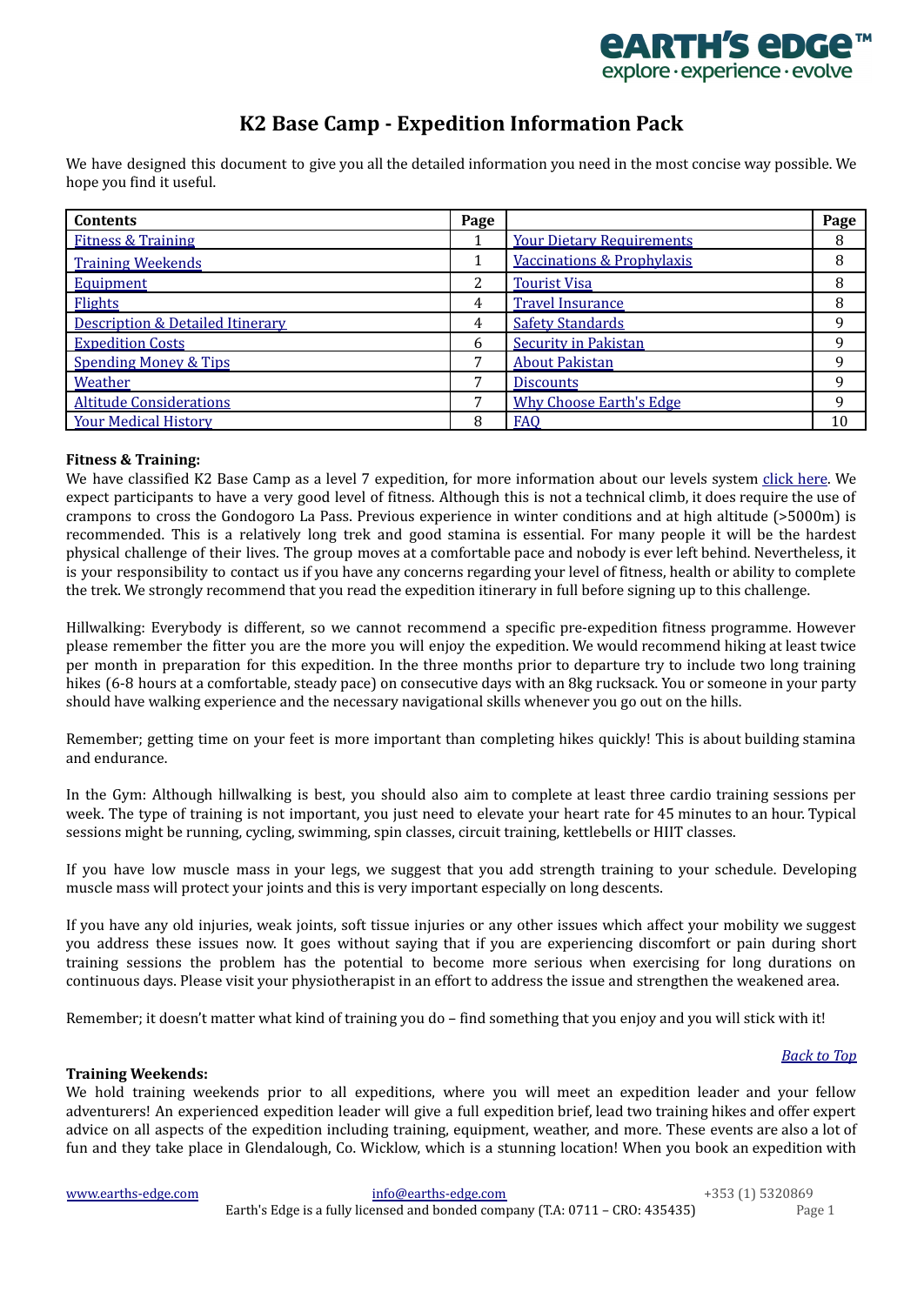

# **K2 Base Camp - Expedition Information Pack**

<span id="page-0-2"></span>We have designed this document to give you all the detailed information you need in the most concise way possible. We hope you find it useful.

| <b>Contents</b>                             | Page         |                                       | Page |
|---------------------------------------------|--------------|---------------------------------------|------|
| <b>Fitness &amp; Training</b>               |              | <b>Your Dietary Requirements</b>      | 8    |
| <b>Training Weekends</b>                    |              | <b>Vaccinations &amp; Prophylaxis</b> | 8    |
| Equipment                                   | 2            | <b>Tourist Visa</b>                   | 8    |
| Flights                                     | 4            | <b>Travel Insurance</b>               | 8    |
| <b>Description &amp; Detailed Itinerary</b> | 4            | <b>Safety Standards</b>               |      |
| <b>Expedition Costs</b>                     | <sub>6</sub> | <b>Security in Pakistan</b>           | q    |
| <b>Spending Money &amp; Tips</b>            |              | <b>About Pakistan</b>                 | q    |
| Weather                                     |              | <b>Discounts</b>                      | a    |
| <b>Altitude Considerations</b>              | −            | <b>Why Choose Earth's Edge</b>        |      |
| <b>Your Medical History</b>                 | 8            | <b>FAO</b>                            | 10   |

# <span id="page-0-0"></span>**Fitness & Training:**

We have classified K2 Base Camp as a level 7 expedition, for more information about our levels system [click](http://www.earths-edge.com/levels/) here. We expect participants to have a very good level of fitness. Although this is not a technical climb, it does require the use of crampons to cross the Gondogoro La Pass. Previous experience in winter conditions and at high altitude (>5000m) is recommended. This is a relatively long trek and good stamina is essential. For many people it will be the hardest physical challenge of their lives. The group moves at a comfortable pace and nobody is ever left behind. Nevertheless, it is your responsibility to contact us if you have any concerns regarding your level of fitness, health or ability to complete the trek. We strongly recommend that you read the expedition itinerary in full before signing up to this challenge.

Hillwalking: Everybody is different, so we cannot recommend a specific pre-expedition fitness programme. However please remember the fitter you are the more you will enjoy the expedition. We would recommend hiking at least twice per month in preparation for this expedition. In the three months prior to departure try to include two long training hikes (6-8 hours at a comfortable, steady pace) on consecutive days with an 8kg rucksack. You or someone in your party should have walking experience and the necessary navigational skills whenever you go out on the hills.

Remember; getting time on your feet is more important than completing hikes quickly! This is about building stamina and endurance.

In the Gym: Although hillwalking is best, you should also aim to complete at least three cardio training sessions per week. The type of training is not important, you just need to elevate your heart rate for 45 minutes to an hour. Typical sessions might be running, cycling, swimming, spin classes, circuit training, kettlebells or HIIT classes.

If you have low muscle mass in your legs, we suggest that you add strength training to your schedule. Developing muscle mass will protect your joints and this is very important especially on long descents.

If you have any old injuries, weak joints, soft tissue injuries or any other issues which affect your mobility we suggest you address these issues now. It goes without saying that if you are experiencing discomfort or pain during short training sessions the problem has the potential to become more serious when exercising for long durations on continuous days. Please visit your physiotherapist in an effort to address the issue and strengthen the weakened area.

Remember; it doesn't matter what kind of training you do – find something that you enjoy and you will stick with it!

# *[Back](#page-0-2) to Top*

# <span id="page-0-1"></span>**Training Weekends:**

We hold training weekends prior to all expeditions, where you will meet an expedition leader and your fellow adventurers! An experienced expedition leader will give a full expedition brief, lead two training hikes and offer expert advice on all aspects of the expedition including training, equipment, weather, and more. These events are also a lot of fun and they take place in Glendalough, Co. Wicklow, which is a stunning location! When you book an expedition with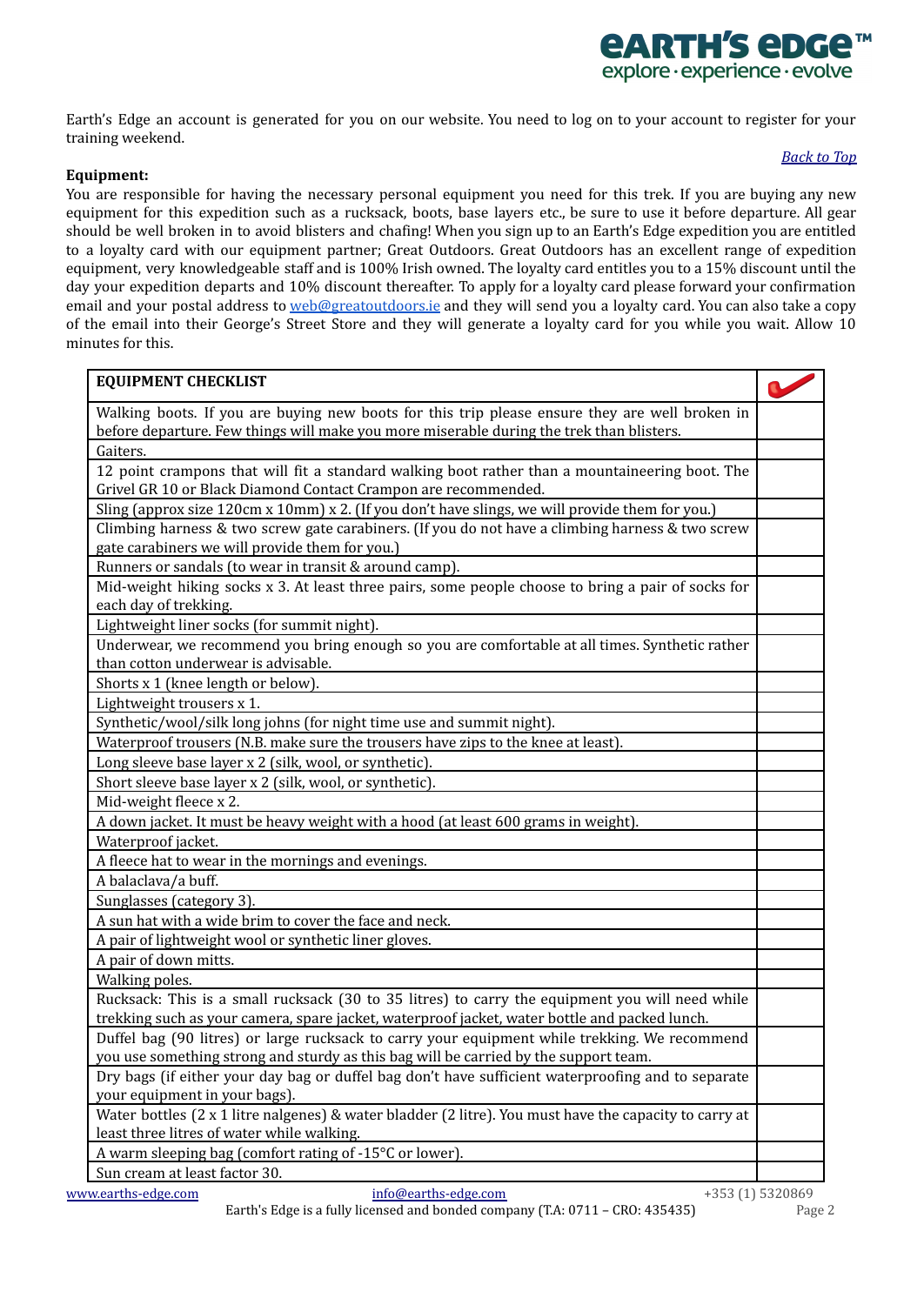

Earth's Edge an account is generated for you on our website. You need to log on to your account to register for your training weekend.

# <span id="page-1-0"></span>**Equipment:**

# *[Back](#page-0-2) to Top*

You are responsible for having the necessary personal equipment you need for this trek. If you are buying any new equipment for this expedition such as a rucksack, boots, base layers etc., be sure to use it before departure. All gear should be well broken in to avoid blisters and chafing! When you sign up to an Earth's Edge expedition you are entitled to a loyalty card with our equipment partner; Great Outdoors. Great Outdoors has an excellent range of expedition equipment, very knowledgeable staff and is 100% Irish owned. The loyalty card entitles you to a 15% discount until the day your expedition departs and 10% discount thereafter. To apply for a loyalty card please forward your confirmation email and your postal address to [web@greatoutdoors.ie](mailto:web@greatoutdoors.ie) and they will send you a loyalty card. You can also take a copy of the email into their George's Street Store and they will generate a loyalty card for you while you wait. Allow 10 minutes for this.

| <b>EQUIPMENT CHECKLIST</b>                                                                                                            |                  |
|---------------------------------------------------------------------------------------------------------------------------------------|------------------|
| Walking boots. If you are buying new boots for this trip please ensure they are well broken in                                        |                  |
| before departure. Few things will make you more miserable during the trek than blisters.                                              |                  |
| Gaiters.                                                                                                                              |                  |
| 12 point crampons that will fit a standard walking boot rather than a mountaineering boot. The                                        |                  |
| Grivel GR 10 or Black Diamond Contact Crampon are recommended.                                                                        |                  |
| Sling (approx size 120cm x 10mm) x 2. (If you don't have slings, we will provide them for you.)                                       |                  |
| Climbing harness $&$ two screw gate carabiners. (If you do not have a climbing harness $&$ two screw                                  |                  |
| gate carabiners we will provide them for you.)                                                                                        |                  |
| Runners or sandals (to wear in transit & around camp).                                                                                |                  |
| Mid-weight hiking socks x 3. At least three pairs, some people choose to bring a pair of socks for<br>each day of trekking.           |                  |
| Lightweight liner socks (for summit night).                                                                                           |                  |
| Underwear, we recommend you bring enough so you are comfortable at all times. Synthetic rather<br>than cotton underwear is advisable. |                  |
| Shorts x 1 (knee length or below).                                                                                                    |                  |
| Lightweight trousers x 1.                                                                                                             |                  |
| Synthetic/wool/silk long johns (for night time use and summit night).                                                                 |                  |
| Waterproof trousers (N.B. make sure the trousers have zips to the knee at least).                                                     |                  |
| Long sleeve base layer x 2 (silk, wool, or synthetic).                                                                                |                  |
| Short sleeve base layer x 2 (silk, wool, or synthetic).                                                                               |                  |
|                                                                                                                                       |                  |
| Mid-weight fleece x 2.                                                                                                                |                  |
| A down jacket. It must be heavy weight with a hood (at least 600 grams in weight).                                                    |                  |
| Waterproof jacket.                                                                                                                    |                  |
| A fleece hat to wear in the mornings and evenings.                                                                                    |                  |
| A balaclava/a buff.                                                                                                                   |                  |
| Sunglasses (category 3).                                                                                                              |                  |
| A sun hat with a wide brim to cover the face and neck.                                                                                |                  |
| A pair of lightweight wool or synthetic liner gloves.                                                                                 |                  |
| A pair of down mitts.                                                                                                                 |                  |
| Walking poles.                                                                                                                        |                  |
| Rucksack: This is a small rucksack (30 to 35 litres) to carry the equipment you will need while                                       |                  |
| trekking such as your camera, spare jacket, waterproof jacket, water bottle and packed lunch.                                         |                  |
| Duffel bag (90 litres) or large rucksack to carry your equipment while trekking. We recommend                                         |                  |
| you use something strong and sturdy as this bag will be carried by the support team.                                                  |                  |
| Dry bags (if either your day bag or duffel bag don't have sufficient waterproofing and to separate<br>your equipment in your bags).   |                  |
| Water bottles $(2 \times 1)$ litre nalgenes) & water bladder $(2)$ litre). You must have the capacity to carry at                     |                  |
| least three litres of water while walking.                                                                                            |                  |
| A warm sleeping bag (comfort rating of -15°C or lower).                                                                               |                  |
| Sun cream at least factor 30.                                                                                                         |                  |
| www.earths-edge.com<br>info@earths-edge.com                                                                                           | +353 (1) 5320869 |

Earth's Edge is a fully licensed and bonded company (T.A: 0711 – CRO: 435435) Page 2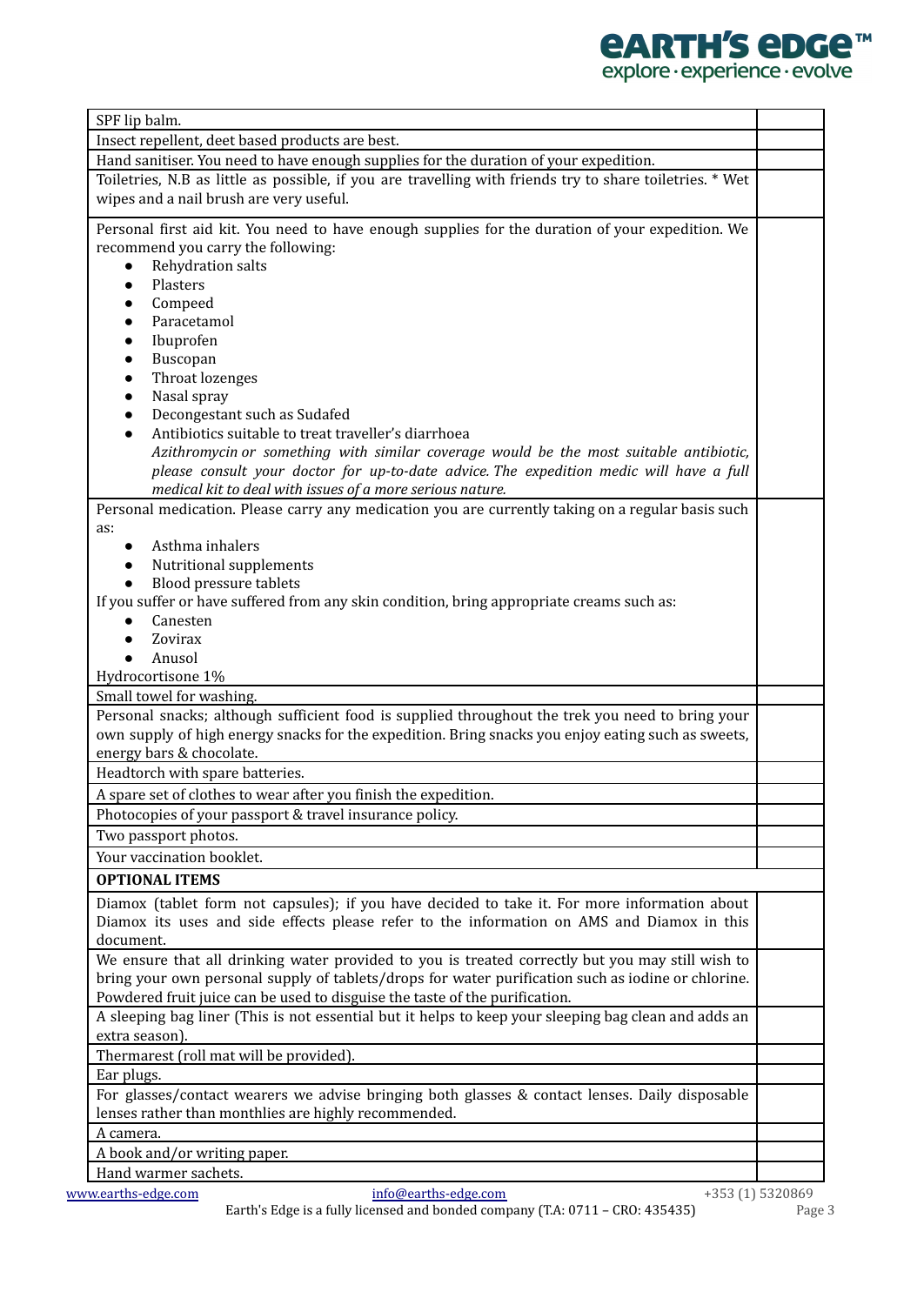

| SPF lip balm.                                                                                                                                       |  |
|-----------------------------------------------------------------------------------------------------------------------------------------------------|--|
| Insect repellent, deet based products are best.                                                                                                     |  |
| Hand sanitiser. You need to have enough supplies for the duration of your expedition.                                                               |  |
| Toiletries, N.B as little as possible, if you are travelling with friends try to share toiletries. * Wet<br>wipes and a nail brush are very useful. |  |
| Personal first aid kit. You need to have enough supplies for the duration of your expedition. We                                                    |  |
| recommend you carry the following:                                                                                                                  |  |
| Rehydration salts<br>$\bullet$                                                                                                                      |  |
| Plasters<br>$\bullet$                                                                                                                               |  |
| Compeed<br>$\bullet$                                                                                                                                |  |
| Paracetamol<br>$\bullet$                                                                                                                            |  |
| Ibuprofen<br>$\bullet$                                                                                                                              |  |
| Buscopan<br>$\bullet$                                                                                                                               |  |
| Throat lozenges<br>$\bullet$                                                                                                                        |  |
| Nasal spray<br>$\bullet$                                                                                                                            |  |
| Decongestant such as Sudafed<br>$\bullet$                                                                                                           |  |
| Antibiotics suitable to treat traveller's diarrhoea<br>$\bullet$                                                                                    |  |
| Azithromycin or something with similar coverage would be the most suitable antibiotic,                                                              |  |
| please consult your doctor for up-to-date advice. The expedition medic will have a full                                                             |  |
| medical kit to deal with issues of a more serious nature.                                                                                           |  |
| Personal medication. Please carry any medication you are currently taking on a regular basis such                                                   |  |
| as:                                                                                                                                                 |  |
| Asthma inhalers                                                                                                                                     |  |
| Nutritional supplements                                                                                                                             |  |
| Blood pressure tablets                                                                                                                              |  |
| If you suffer or have suffered from any skin condition, bring appropriate creams such as:                                                           |  |
| Canesten                                                                                                                                            |  |
| Zovirax                                                                                                                                             |  |
| Anusol                                                                                                                                              |  |
| Hydrocortisone 1%<br>Small towel for washing.                                                                                                       |  |
| Personal snacks; although sufficient food is supplied throughout the trek you need to bring your                                                    |  |
| own supply of high energy snacks for the expedition. Bring snacks you enjoy eating such as sweets,                                                  |  |
| energy bars & chocolate.                                                                                                                            |  |
| Headtorch with spare batteries.                                                                                                                     |  |
| A spare set of clothes to wear after you finish the expedition.                                                                                     |  |
| Photocopies of your passport & travel insurance policy.                                                                                             |  |
|                                                                                                                                                     |  |
| Two passport photos.                                                                                                                                |  |
| Your vaccination booklet.                                                                                                                           |  |
| <b>OPTIONAL ITEMS</b>                                                                                                                               |  |
| Diamox (tablet form not capsules); if you have decided to take it. For more information about                                                       |  |
| Diamox its uses and side effects please refer to the information on AMS and Diamox in this                                                          |  |
| document.                                                                                                                                           |  |
| We ensure that all drinking water provided to you is treated correctly but you may still wish to                                                    |  |
| bring your own personal supply of tablets/drops for water purification such as iodine or chlorine.                                                  |  |
| Powdered fruit juice can be used to disguise the taste of the purification.                                                                         |  |
| A sleeping bag liner (This is not essential but it helps to keep your sleeping bag clean and adds an                                                |  |
| extra season).                                                                                                                                      |  |
| Thermarest (roll mat will be provided).                                                                                                             |  |
| Ear plugs.                                                                                                                                          |  |
| For glasses/contact wearers we advise bringing both glasses & contact lenses. Daily disposable                                                      |  |
| lenses rather than monthlies are highly recommended.                                                                                                |  |
| A camera.                                                                                                                                           |  |
| A book and/or writing paper.                                                                                                                        |  |
| Hand warmer sachets.                                                                                                                                |  |
| www.earths-edge.com<br>info@earths-edge.com<br>+353 (1) 5320869                                                                                     |  |

Earth's Edge is a fully licensed and bonded company (T.A: 0711 – CRO: 435435) Page 3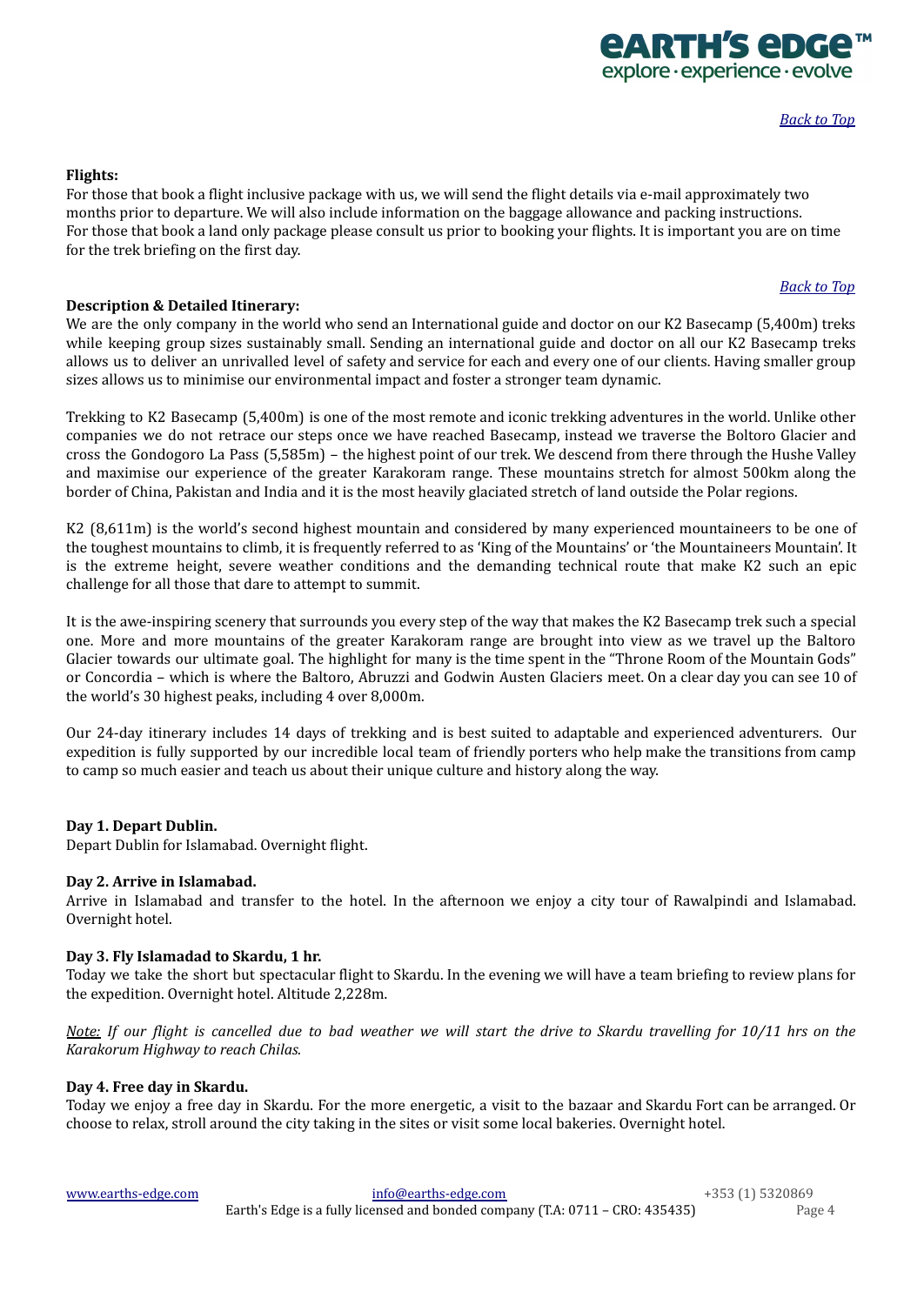### <span id="page-3-0"></span>**Flights:**

For those that book a flight inclusive package with us, we will send the flight details via e-mail approximately two months prior to departure. We will also include information on the baggage allowance and packing instructions. For those that book a land only package please consult us prior to booking your flights. It is important you are on time for the trek briefing on the first day.

# **Description & Detailed Itinerary:**

We are the only company in the world who send an International guide and doctor on our K2 Basecamp (5,400m) treks while keeping group sizes sustainably small. Sending an international guide and doctor on all our K2 Basecamp treks allows us to deliver an unrivalled level of safety and service for each and every one of our clients. Having smaller group sizes allows us to minimise our environmental impact and foster a stronger team dynamic.

Trekking to K2 Basecamp (5,400m) is one of the most remote and iconic trekking adventures in the world. Unlike other companies we do not retrace our steps once we have reached Basecamp, instead we traverse the Boltoro Glacier and cross the Gondogoro La Pass (5,585m) – the highest point of our trek. We descend from there through the Hushe Valley and maximise our experience of the greater Karakoram range. These mountains stretch for almost 500km along the border of China, Pakistan and India and it is the most heavily glaciated stretch of land outside the Polar regions.

K2 (8,611m) is the world's second highest mountain and considered by many experienced mountaineers to be one of the toughest mountains to climb, it is frequently referred to as 'King of the Mountains' or 'the Mountaineers Mountain'. It is the extreme height, severe weather conditions and the demanding technical route that make K2 such an epic challenge for all those that dare to attempt to summit.

It is the awe-inspiring scenery that surrounds you every step of the way that makes the K2 Basecamp trek such a special one. More and more mountains of the greater Karakoram range are brought into view as we travel up the Baltoro Glacier towards our ultimate goal. The highlight for many is the time spent in the "Throne Room of the Mountain Gods" or Concordia – which is where the Baltoro, Abruzzi and Godwin Austen Glaciers meet. On a clear day you can see 10 of the world's 30 highest peaks, including 4 over 8,000m.

Our 24-day itinerary includes 14 days of trekking and is best suited to adaptable and experienced adventurers. Our expedition is fully supported by our incredible local team of friendly porters who help make the transitions from camp to camp so much easier and teach us about their unique culture and history along the way.

# **Day 1. Depart Dublin.**

Depart Dublin for Islamabad. Overnight flight.

# **Day 2. Arrive in Islamabad.**

Arrive in Islamabad and transfer to the hotel. In the afternoon we enjoy a city tour of Rawalpindi and Islamabad. Overnight hotel.

### **Day 3. Fly Islamadad to Skardu, 1 hr.**

Today we take the short but spectacular flight to Skardu. In the evening we will have a team briefing to review plans for the expedition. Overnight hotel. Altitude 2,228m.

Note: If our flight is cancelled due to bad weather we will start the drive to Skardu travelling for 10/11 hrs on the *Karakorum Highway to reach Chilas.*

#### **Day 4. Free day in Skardu.**

Today we enjoy a free day in Skardu. For the more energetic, a visit to the bazaar and Skardu Fort can be arranged. Or choose to relax, stroll around the city taking in the sites or visit some local bakeries. Overnight hotel.

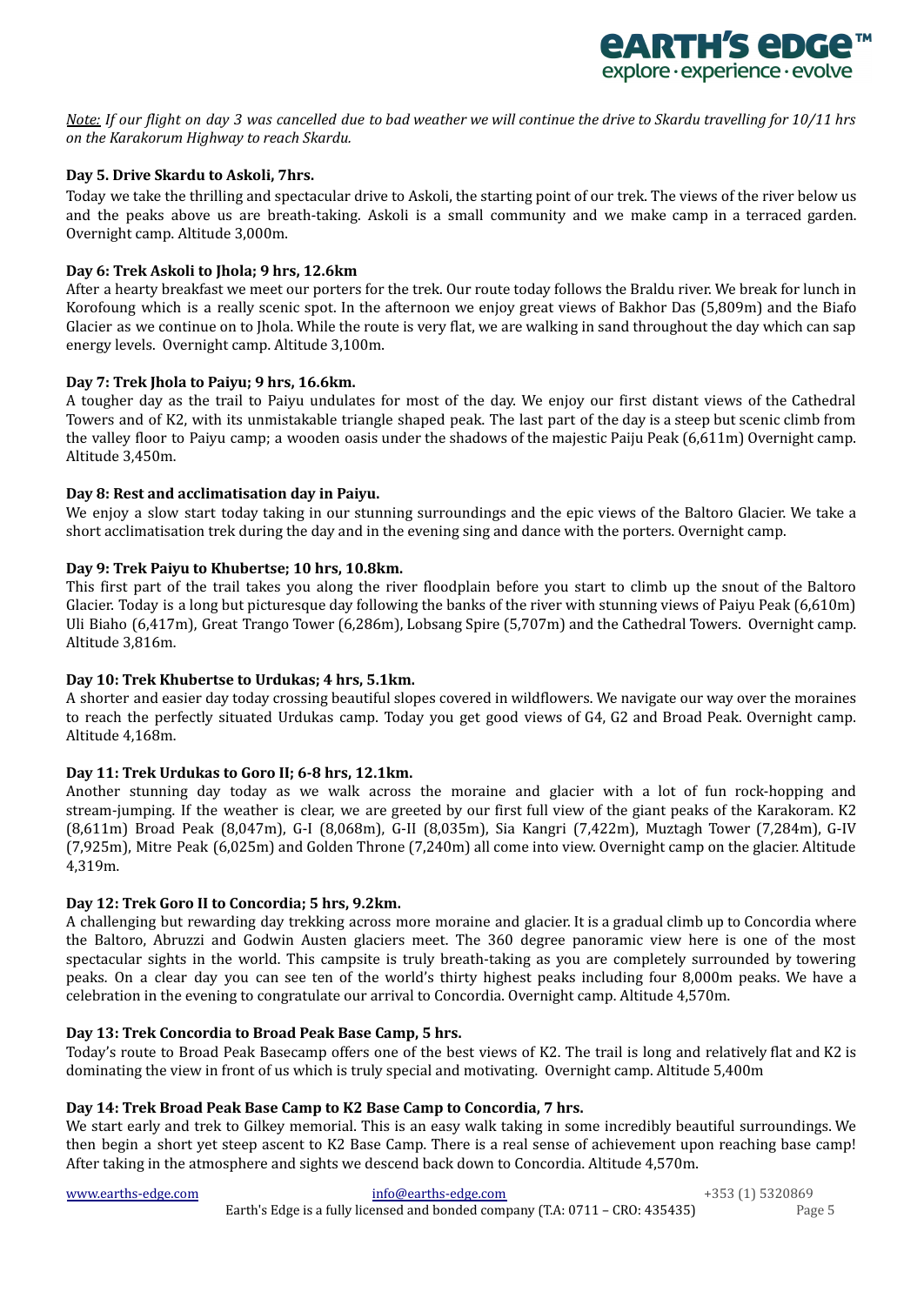

Note: If our flight on day 3 was cancelled due to bad weather we will continue the drive to Skardu travelling for 10/11 hrs *on the Karakorum Highway to reach Skardu.*

# **Day 5. Drive Skardu to Askoli, 7hrs.**

Today we take the thrilling and spectacular drive to Askoli, the starting point of our trek. The views of the river below us and the peaks above us are breath-taking. Askoli is a small community and we make camp in a terraced garden. Overnight camp. Altitude 3,000m.

# **Day 6: Trek Askoli to Jhola; 9 hrs, 12.6km**

After a hearty breakfast we meet our porters for the trek. Our route today follows the Braldu river. We break for lunch in Korofoung which is a really scenic spot. In the afternoon we enjoy great views of Bakhor Das (5,809m) and the Biafo Glacier as we continue on to Jhola. While the route is very flat, we are walking in sand throughout the day which can sap energy levels. Overnight camp. Altitude 3,100m.

### **Day 7: Trek Jhola to Paiyu; 9 hrs, 16.6km.**

A tougher day as the trail to Paiyu undulates for most of the day. We enjoy our first distant views of the Cathedral Towers and of K2, with its unmistakable triangle shaped peak. The last part of the day is a steep but scenic climb from the valley floor to Paiyu camp; a wooden oasis under the shadows of the majestic Paiju Peak (6,611m) Overnight camp. Altitude 3,450m.

### **Day 8: Rest and acclimatisation day in Paiyu.**

We enjoy a slow start today taking in our stunning surroundings and the epic views of the Baltoro Glacier. We take a short acclimatisation trek during the day and in the evening sing and dance with the porters. Overnight camp.

### **Day 9: Trek Paiyu to Khubertse; 10 hrs, 10.8km.**

This first part of the trail takes you along the river floodplain before you start to climb up the snout of the Baltoro Glacier. Today is a long but picturesque day following the banks of the river with stunning views of Paiyu Peak (6,610m) Uli Biaho (6,417m), Great Trango Tower (6,286m), Lobsang Spire (5,707m) and the Cathedral Towers. Overnight camp. Altitude 3,816m.

# **Day 10: Trek Khubertse to Urdukas; 4 hrs, 5.1km.**

A shorter and easier day today crossing beautiful slopes covered in wildflowers. We navigate our way over the moraines to reach the perfectly situated Urdukas camp. Today you get good views of G4, G2 and Broad Peak. Overnight camp. Altitude 4,168m.

#### **Day 11: Trek Urdukas to Goro II; 6-8 hrs, 12.1km.**

Another stunning day today as we walk across the moraine and glacier with a lot of fun rock-hopping and stream-jumping. If the weather is clear, we are greeted by our first full view of the giant peaks of the Karakoram. K2 (8,611m) Broad Peak (8,047m), G-I (8,068m), G-II (8,035m), Sia Kangri (7,422m), Muztagh Tower (7,284m), G-IV (7,925m), Mitre Peak (6,025m) and Golden Throne (7,240m) all come into view. Overnight camp on the glacier. Altitude 4,319m.

#### **Day 12: Trek Goro II to Concordia; 5 hrs, 9.2km.**

A challenging but rewarding day trekking across more moraine and glacier. It is a gradual climb up to Concordia where the Baltoro, Abruzzi and Godwin Austen glaciers meet. The 360 degree panoramic view here is one of the most spectacular sights in the world. This campsite is truly breath-taking as you are completely surrounded by towering peaks. On a clear day you can see ten of the world's thirty highest peaks including four 8,000m peaks. We have a celebration in the evening to congratulate our arrival to Concordia. Overnight camp. Altitude 4,570m.

#### **Day 13: Trek Concordia to Broad Peak Base Camp, 5 hrs.**

Today's route to Broad Peak Basecamp offers one of the best views of K2. The trail is long and relatively flat and K2 is dominating the view in front of us which is truly special and motivating. Overnight camp. Altitude 5,400m

### **Day 14: Trek Broad Peak Base Camp to K2 Base Camp to Concordia, 7 hrs.**

We start early and trek to Gilkey memorial. This is an easy walk taking in some incredibly beautiful surroundings. We then begin a short yet steep ascent to K2 Base Camp. There is a real sense of achievement upon reaching base camp! After taking in the atmosphere and sights we descend back down to Concordia. Altitude 4,570m.

[www.earths-edge.com](http://www.earths-edge.com/) [info@earths-edge.com](mailto:info@earths-edge.com) +353 (1) 5320869 Earth's Edge is a fully licensed and bonded company (T.A: 0711 – CRO: 435435) Page 5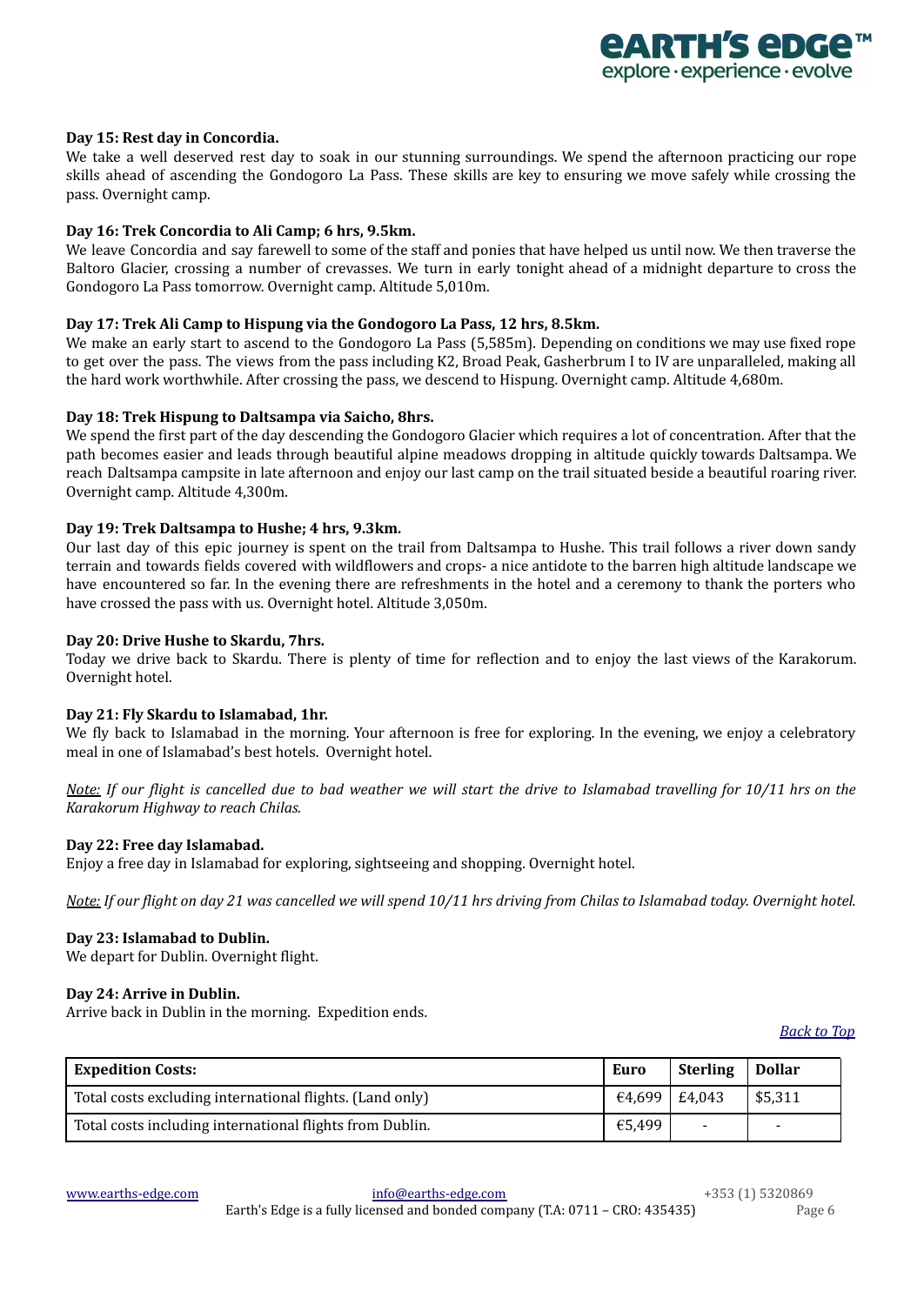# **Day 15: Rest day in Concordia.**

We take a well deserved rest day to soak in our stunning surroundings. We spend the afternoon practicing our rope skills ahead of ascending the Gondogoro La Pass. These skills are key to ensuring we move safely while crossing the pass. Overnight camp.

# **Day 16: Trek Concordia to Ali Camp; 6 hrs, 9.5km.**

We leave Concordia and say farewell to some of the staff and ponies that have helped us until now. We then traverse the Baltoro Glacier, crossing a number of crevasses. We turn in early tonight ahead of a midnight departure to cross the Gondogoro La Pass tomorrow. Overnight camp. Altitude 5,010m.

## **Day 17: Trek Ali Camp to Hispung via the Gondogoro La Pass, 12 hrs, 8.5km.**

We make an early start to ascend to the Gondogoro La Pass (5,585m). Depending on conditions we may use fixed rope to get over the pass. The views from the pass including K2, Broad Peak, Gasherbrum I to IV are unparalleled, making all the hard work worthwhile. After crossing the pass, we descend to Hispung. Overnight camp. Altitude 4,680m.

### **Day 18: Trek Hispung to Daltsampa via Saicho, 8hrs.**

We spend the first part of the day descending the Gondogoro Glacier which requires a lot of concentration. After that the path becomes easier and leads through beautiful alpine meadows dropping in altitude quickly towards Daltsampa. We reach Daltsampa campsite in late afternoon and enjoy our last camp on the trail situated beside a beautiful roaring river. Overnight camp. Altitude 4,300m.

### **Day 19: Trek Daltsampa to Hushe; 4 hrs, 9.3km.**

Our last day of this epic journey is spent on the trail from Daltsampa to Hushe. This trail follows a river down sandy terrain and towards fields covered with wildflowers and crops- a nice antidote to the barren high altitude landscape we have encountered so far. In the evening there are refreshments in the hotel and a ceremony to thank the porters who have crossed the pass with us. Overnight hotel. Altitude 3,050m.

### **Day 20: Drive Hushe to Skardu, 7hrs.**

Today we drive back to Skardu. There is plenty of time for reflection and to enjoy the last views of the Karakorum. Overnight hotel.

#### **Day 21: Fly Skardu to Islamabad, 1hr.**

We fly back to Islamabad in the morning. Your afternoon is free for exploring. In the evening, we enjoy a celebratory meal in one of Islamabad's best hotels. Overnight hotel.

Note: If our flight is cancelled due to bad weather we will start the drive to Islamabad travelling for 10/11 hrs on the *Karakorum Highway to reach Chilas.*

#### **Day 22: Free day Islamabad.**

Enjoy a free day in Islamabad for exploring, sightseeing and shopping. Overnight hotel.

Note: If our flight on day 21 was cancelled we will spend 10/11 hrs driving from Chilas to Islamabad today. Overnight hotel.

#### **Day 23: Islamabad to Dublin.**

We depart for Dublin. Overnight flight.

#### **Day 24: Arrive in Dublin.**

Arrive back in Dublin in the morning. Expedition ends.

<span id="page-5-0"></span>

| <b>Expedition Costs:</b>                                 | Euro                      | <b>Sterling</b>          | <b>Dollar</b>            |
|----------------------------------------------------------|---------------------------|--------------------------|--------------------------|
| Total costs excluding international flights. (Land only) | $\epsilon$ 4.699   £4.043 |                          | \$5,311                  |
| Total costs including international flights from Dublin. | €5,499                    | $\overline{\phantom{a}}$ | $\overline{\phantom{a}}$ |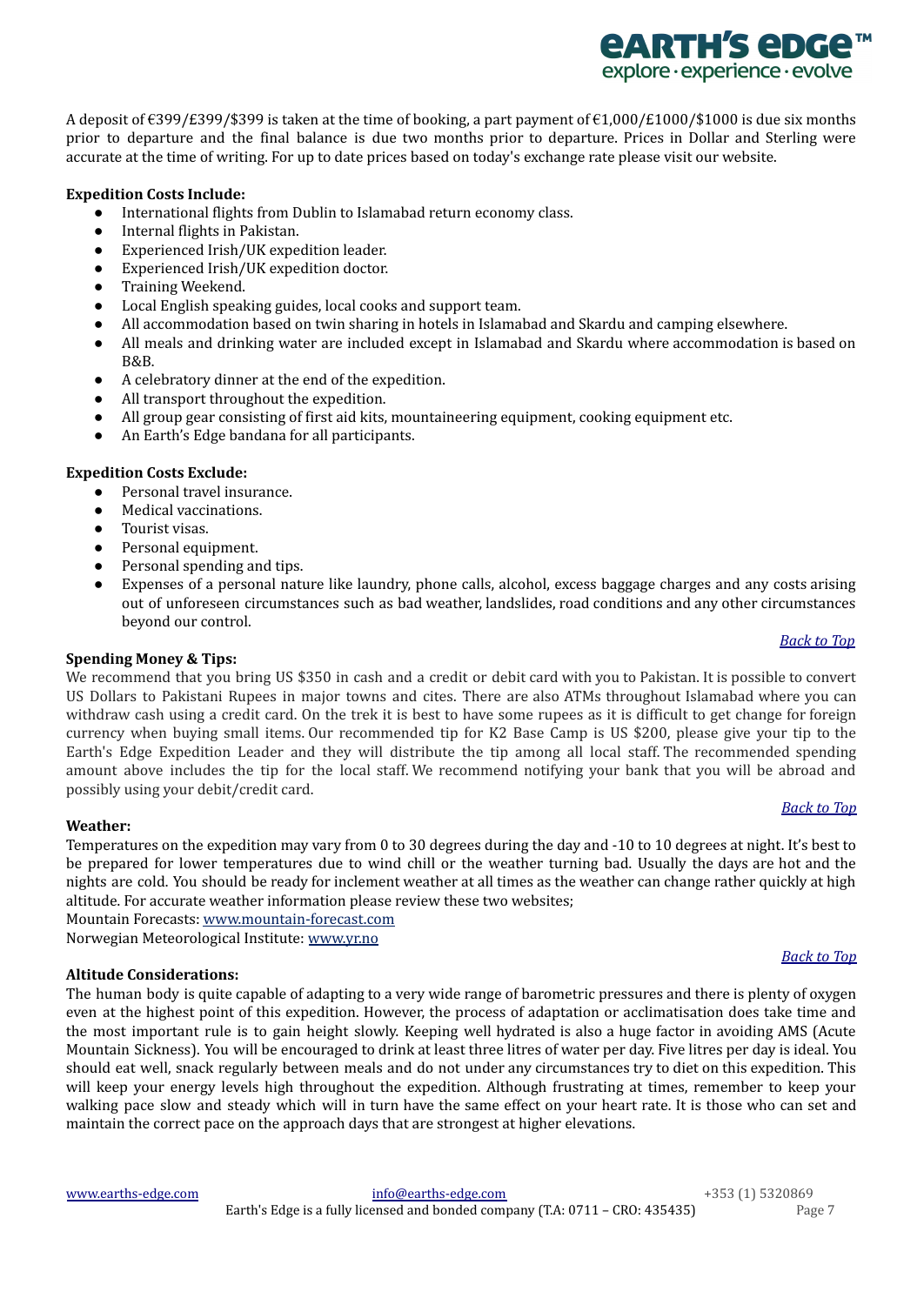A deposit of €399/£399/\$399 is taken at the time of booking, a part payment of €1,000/£1000/\$1000 is due six months prior to departure and the final balance is due two months prior to departure. Prices in Dollar and Sterling were accurate at the time of writing. For up to date prices based on today's exchange rate please visit our website.

# **Expedition Costs Include:**

- International flights from Dublin to Islamabad return economy class.
- Internal flights in Pakistan.
- Experienced Irish/UK expedition leader.
- Experienced Irish/UK expedition doctor.
- Training Weekend.
- Local English speaking guides, local cooks and support team.
- All accommodation based on twin sharing in hotels in Islamabad and Skardu and camping elsewhere.
- All meals and drinking water are included except in Islamabad and Skardu where accommodation is based on B&B.
- A celebratory dinner at the end of the expedition.
- All transport throughout the expedition.
- All group gear consisting of first aid kits, mountaineering equipment, cooking equipment etc.
- An Earth's Edge bandana for all participants.

### **Expedition Costs Exclude:**

- Personal travel insurance.
- Medical vaccinations.
- Tourist visas.
- Personal equipment.
- Personal spending and tips.
- Expenses of a personal nature like laundry, phone calls, alcohol, excess baggage charges and any costs arising out of unforeseen circumstances such as bad weather, landslides, road conditions and any other circumstances beyond our control.

#### *[Back](#page-0-2) to Top*

*<u>ARTH'S ADGA</u>* explore · experience · evolve

#### <span id="page-6-0"></span>**Spending Money & Tips:**

We recommend that you bring US \$350 in cash and a credit or debit card with you to Pakistan. It is possible to convert US Dollars to Pakistani Rupees in major towns and cites. There are also ATMs throughout Islamabad where you can withdraw cash using a credit card. On the trek it is best to have some rupees as it is difficult to get change for foreign currency when buying small items. Our recommended tip for K2 Base Camp is US \$200, please give your tip to the Earth's Edge Expedition Leader and they will distribute the tip among all local staff. The recommended spending amount above includes the tip for the local staff. We recommend notifying your bank that you will be abroad and possibly using your debit/credit card.

#### *[Back](#page-0-2) to Top*

*[Back](#page-0-2) to Top*

# <span id="page-6-1"></span>**Weather:**

Temperatures on the expedition may vary from 0 to 30 degrees during the day and -10 to 10 degrees at night. It's best to be prepared for lower temperatures due to wind chill or the weather turning bad. Usually the days are hot and the nights are cold. You should be ready for inclement weather at all times as the weather can change rather quickly at high altitude. For accurate weather information please review these two websites;

Mountain Forecasts: [www.mountain-forecast.com](http://www.mountain-forecast.com)

<span id="page-6-2"></span>Norwegian Meteorological Institute: [www.yr.no](http://www.yr.no)

# **Altitude Considerations:**

The human body is quite capable of adapting to a very wide range of barometric pressures and there is plenty of oxygen even at the highest point of this expedition. However, the process of adaptation or acclimatisation does take time and the most important rule is to gain height slowly. Keeping well hydrated is also a huge factor in avoiding AMS (Acute Mountain Sickness). You will be encouraged to drink at least three litres of water per day. Five litres per day is ideal. You should eat well, snack regularly between meals and do not under any circumstances try to diet on this expedition. This will keep your energy levels high throughout the expedition. Although frustrating at times, remember to keep your walking pace slow and steady which will in turn have the same effect on your heart rate. It is those who can set and maintain the correct pace on the approach days that are strongest at higher elevations.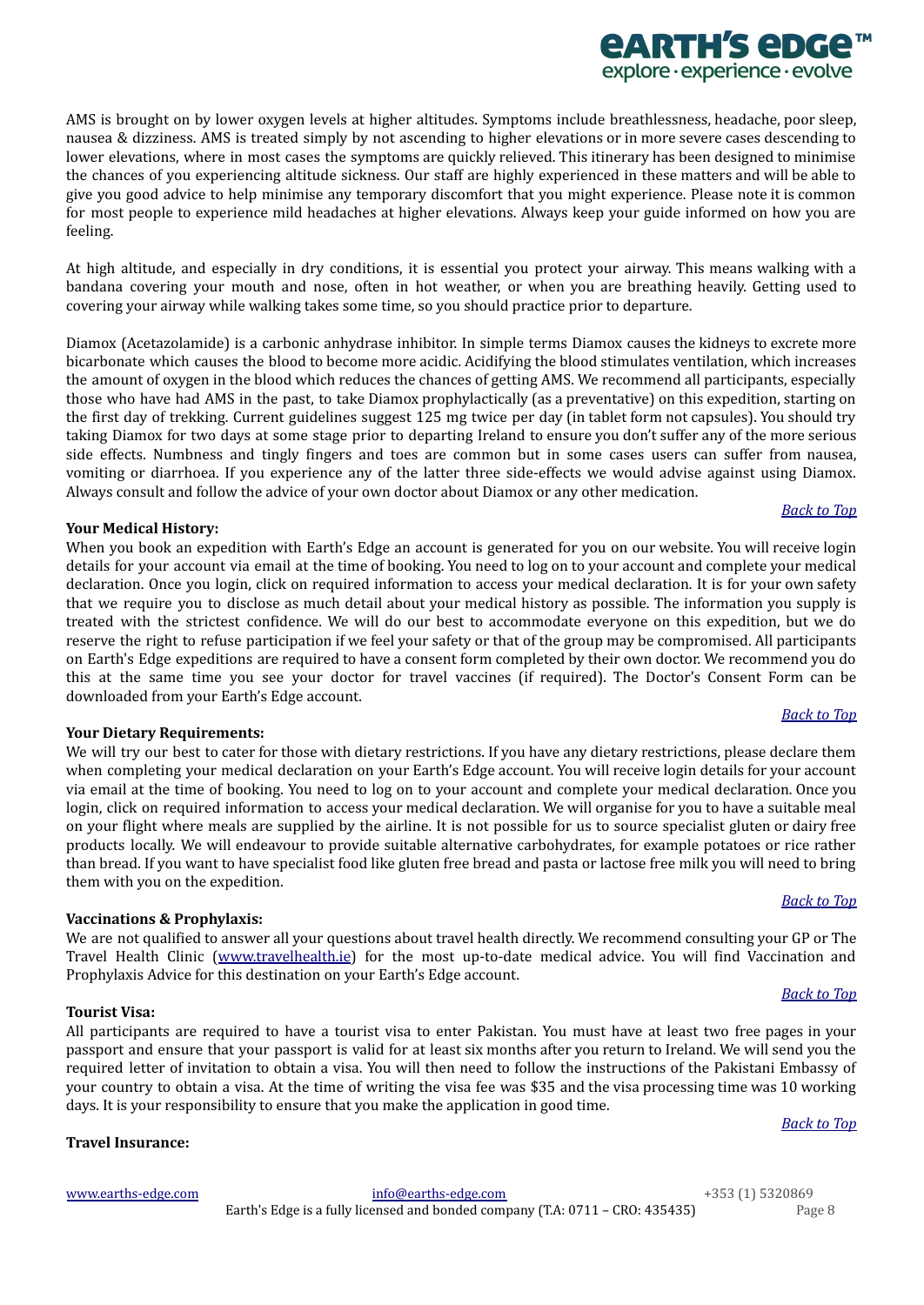AMS is brought on by lower oxygen levels at higher altitudes. Symptoms include breathlessness, headache, poor sleep, nausea & dizziness. AMS is treated simply by not ascending to higher elevations or in more severe cases descending to lower elevations, where in most cases the symptoms are quickly relieved. This itinerary has been designed to minimise the chances of you experiencing altitude sickness. Our staff are highly experienced in these matters and will be able to give you good advice to help minimise any temporary discomfort that you might experience. Please note it is common for most people to experience mild headaches at higher elevations. Always keep your guide informed on how you are feeling.

At high altitude, and especially in dry conditions, it is essential you protect your airway. This means walking with a bandana covering your mouth and nose, often in hot weather, or when you are breathing heavily. Getting used to covering your airway while walking takes some time, so you should practice prior to departure.

Diamox (Acetazolamide) is a carbonic anhydrase inhibitor. In simple terms Diamox causes the kidneys to excrete more bicarbonate which causes the blood to become more acidic. Acidifying the blood stimulates ventilation, which increases the amount of oxygen in the blood which reduces the chances of getting AMS. We recommend all participants, especially those who have had AMS in the past, to take Diamox prophylactically (as a preventative) on this expedition, starting on the first day of trekking. Current guidelines suggest 125 mg twice per day (in tablet form not capsules). You should try taking Diamox for two days at some stage prior to departing Ireland to ensure you don't suffer any of the more serious side effects. Numbness and tingly fingers and toes are common but in some cases users can suffer from nausea, vomiting or diarrhoea. If you experience any of the latter three side-effects we would advise against using Diamox. Always consult and follow the advice of your own doctor about Diamox or any other medication.

# <span id="page-7-4"></span>**Your Medical History:**

When you book an expedition with Earth's Edge an account is generated for you on our website. You will receive login details for your account via email at the time of booking. You need to log on to your account and complete your medical declaration. Once you login, click on required information to access your medical declaration. It is for your own safety that we require you to disclose as much detail about your medical history as possible. The information you supply is treated with the strictest confidence. We will do our best to accommodate everyone on this expedition, but we do reserve the right to refuse participation if we feel your safety or that of the group may be compromised. All participants on Earth's Edge expeditions are required to have a consent form completed by their own doctor. We recommend you do this at the same time you see your doctor for travel vaccines (if required). The Doctor's Consent Form can be downloaded from your Earth's Edge account.

# <span id="page-7-0"></span>**Your Dietary Requirements:**

We will try our best to cater for those with dietary restrictions. If you have any dietary restrictions, please declare them when completing your medical declaration on your Earth's Edge account. You will receive login details for your account via email at the time of booking. You need to log on to your account and complete your medical declaration. Once you login, click on required information to access your medical declaration. We will organise for you to have a suitable meal on your flight where meals are supplied by the airline. It is not possible for us to source specialist gluten or dairy free products locally. We will endeavour to provide suitable alternative carbohydrates, for example potatoes or rice rather than bread. If you want to have specialist food like gluten free bread and pasta or lactose free milk you will need to bring them with you on the expedition.

# <span id="page-7-1"></span>**Vaccinations & Prophylaxis:**

We are not qualified to answer all your questions about travel health directly. We recommend consulting your GP or The Travel Health Clinic ([www.travelhealth.ie](http://www.travelhealth.ie/)) for the most up-to-date medical advice. You will find Vaccination and Prophylaxis Advice for this destination on your Earth's Edge account.

# <span id="page-7-2"></span>**Tourist Visa:**

All participants are required to have a tourist visa to enter Pakistan. You must have at least two free pages in your passport and ensure that your passport is valid for at least six months after you return to Ireland. We will send you the required letter of invitation to obtain a visa. You will then need to follow the instructions of the Pakistani Embassy of your country to obtain a visa. At the time of writing the visa fee was \$35 and the visa processing time was 10 working days. It is your responsibility to ensure that you make the application in good time.

# <span id="page-7-3"></span>**Travel Insurance:**

#### *[Back](#page-0-2) to Top*

*[Back](#page-0-2) to Top*

# *[Back](#page-0-2) to Top*

# *<u>EARTH'S EDGE</u>* explore · experience · evolve

# *[Back](#page-0-2) to Top*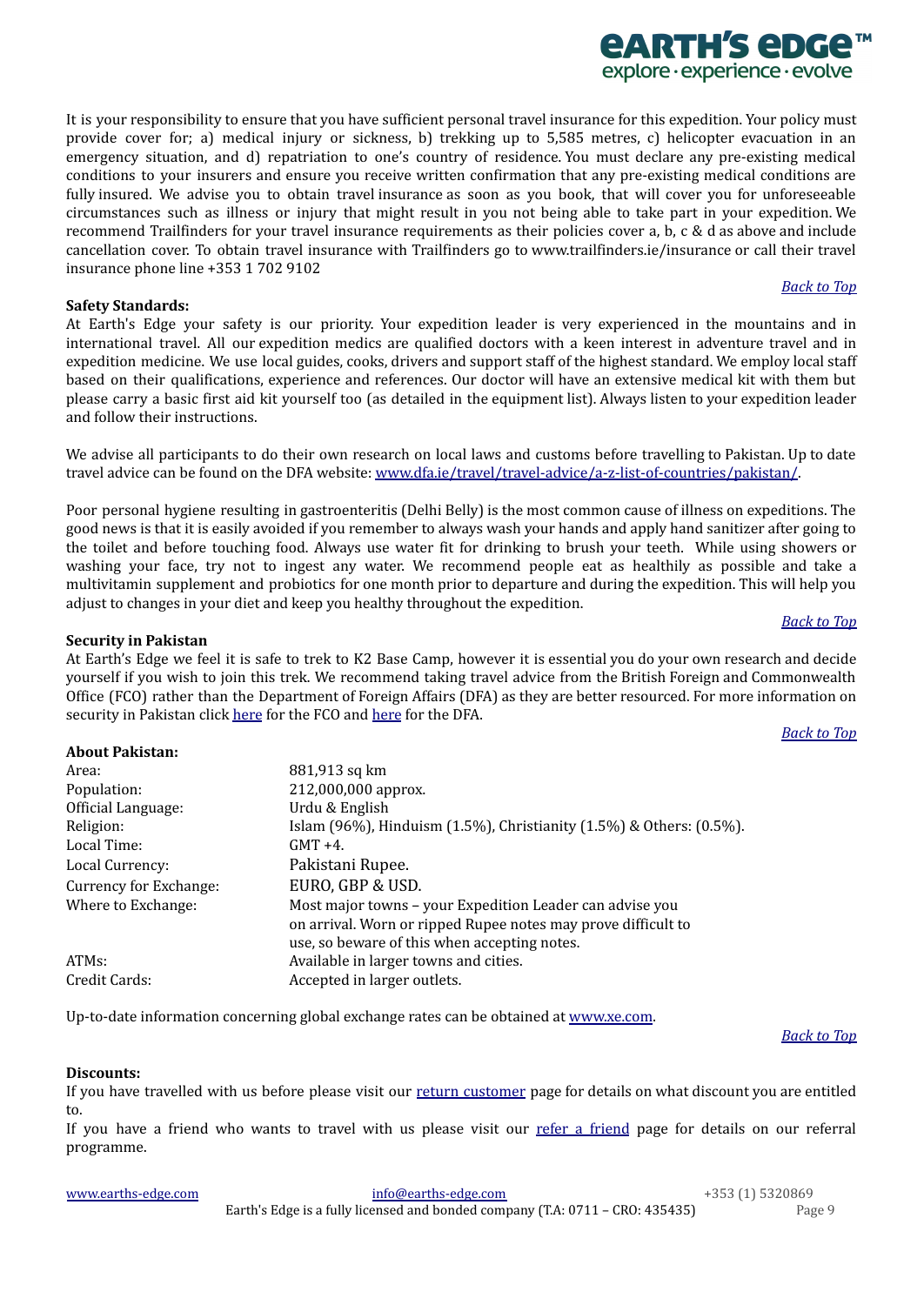It is your responsibility to ensure that you have sufficient personal travel insurance for this expedition. Your policy must provide cover for; a) medical injury or sickness, b) trekking up to 5,585 metres, c) helicopter evacuation in an emergency situation, and d) repatriation to one's country of residence. You must declare any pre-existing medical conditions to your insurers and ensure you receive written confirmation that any pre-existing medical conditions are fully insured. We advise you to obtain travel insurance as soon as you book, that will cover you for unforeseeable circumstances such as illness or injury that might result in you not being able to take part in your expedition. We recommend Trailfinders for your travel insurance requirements as their policies cover a, b, c & d as above and include cancellation cover. To obtain travel insurance with Trailfinders go to www.trailfinders.ie/insurance or call their travel insurance phone line +353 1 702 9102

# <span id="page-8-0"></span>**Safety Standards:**

At Earth's Edge your safety is our priority. Your expedition leader is very experienced in the mountains and in international travel. All our expedition medics are qualified doctors with a keen interest in adventure travel and in expedition medicine. We use local guides, cooks, drivers and support staff of the highest standard. We employ local staff based on their qualifications, experience and references. Our doctor will have an extensive medical kit with them but please carry a basic first aid kit yourself too (as detailed in the equipment list). Always listen to your expedition leader and follow their instructions.

We advise all participants to do their own research on local laws and customs before travelling to Pakistan. Up to date travel advice can be found on the DFA website: [www.dfa.ie/travel/travel-advice/a-z-list-of-countries/pakistan/.](http://www.dfa.ie/travel/travel-advice/a-z-list-of-countries/pakistan/)

Poor personal hygiene resulting in gastroenteritis (Delhi Belly) is the most common cause of illness on expeditions. The good news is that it is easily avoided if you remember to always wash your hands and apply hand sanitizer after going to the toilet and before touching food. Always use water fit for drinking to brush your teeth. While using showers or washing your face, try not to ingest any water. We recommend people eat as healthily as possible and take a multivitamin supplement and probiotics for one month prior to departure and during the expedition. This will help you adjust to changes in your diet and keep you healthy throughout the expedition.

### <span id="page-8-1"></span>**Security in Pakistan**

At Earth's Edge we feel it is safe to trek to K2 Base Camp, however it is essential you do your own research and decide yourself if you wish to join this trek. We recommend taking travel advice from the British Foreign and Commonwealth Office (FCO) rather than the Department of Foreign Affairs (DFA) as they are better resourced. For more information on security in Pakistan click [here](https://www.dfa.ie/travel/travel-advice/a-z-list-of-countries/pakistan/) for the FCO and here for the DFA.

*[Back](#page-0-2) to Top*

<span id="page-8-2"></span>

| <b>About Pakistan:</b> |                                                                                                                                                                           |
|------------------------|---------------------------------------------------------------------------------------------------------------------------------------------------------------------------|
| Area:                  | 881,913 sq km                                                                                                                                                             |
| Population:            | 212,000,000 approx.                                                                                                                                                       |
| Official Language:     | Urdu & English                                                                                                                                                            |
| Religion:              | Islam (96%), Hinduism (1.5%), Christianity (1.5%) & Others: (0.5%).                                                                                                       |
| Local Time:            | $GMT +4.$                                                                                                                                                                 |
| Local Currency:        | Pakistani Rupee.                                                                                                                                                          |
| Currency for Exchange: | EURO, GBP & USD.                                                                                                                                                          |
| Where to Exchange:     | Most major towns – your Expedition Leader can advise you<br>on arrival. Worn or ripped Rupee notes may prove difficult to<br>use, so beware of this when accepting notes. |
| ATM <sub>s:</sub>      | Available in larger towns and cities.                                                                                                                                     |
| Credit Cards:          | Accepted in larger outlets.                                                                                                                                               |

Up-to-date information concerning global exchange rates can be obtained at [www.xe.com](http://www.xe.com/).

# *[Back](#page-0-2) to Top*

# <span id="page-8-3"></span>**Discounts:**

If you have travelled with us before please visit our return [customer](https://www.earths-edge.com/return-customers/) page for details on what discount you are entitled to.

If you have a [friend](https://www.earths-edge.com/refer-a-friend/) who wants to travel with us please visit our refer a friend page for details on our referral programme.

| www.earths-edge.com | info@earths-edge.com                                                          | +353 (1) 5320869 |
|---------------------|-------------------------------------------------------------------------------|------------------|
|                     | Earth's Edge is a fully licensed and bonded company (T.A: 0711 - CRO: 435435) | Page 9           |

*[Back](#page-0-2) to Top*

*<u>EARTH'S EDGE</u>* explore · experience · evolve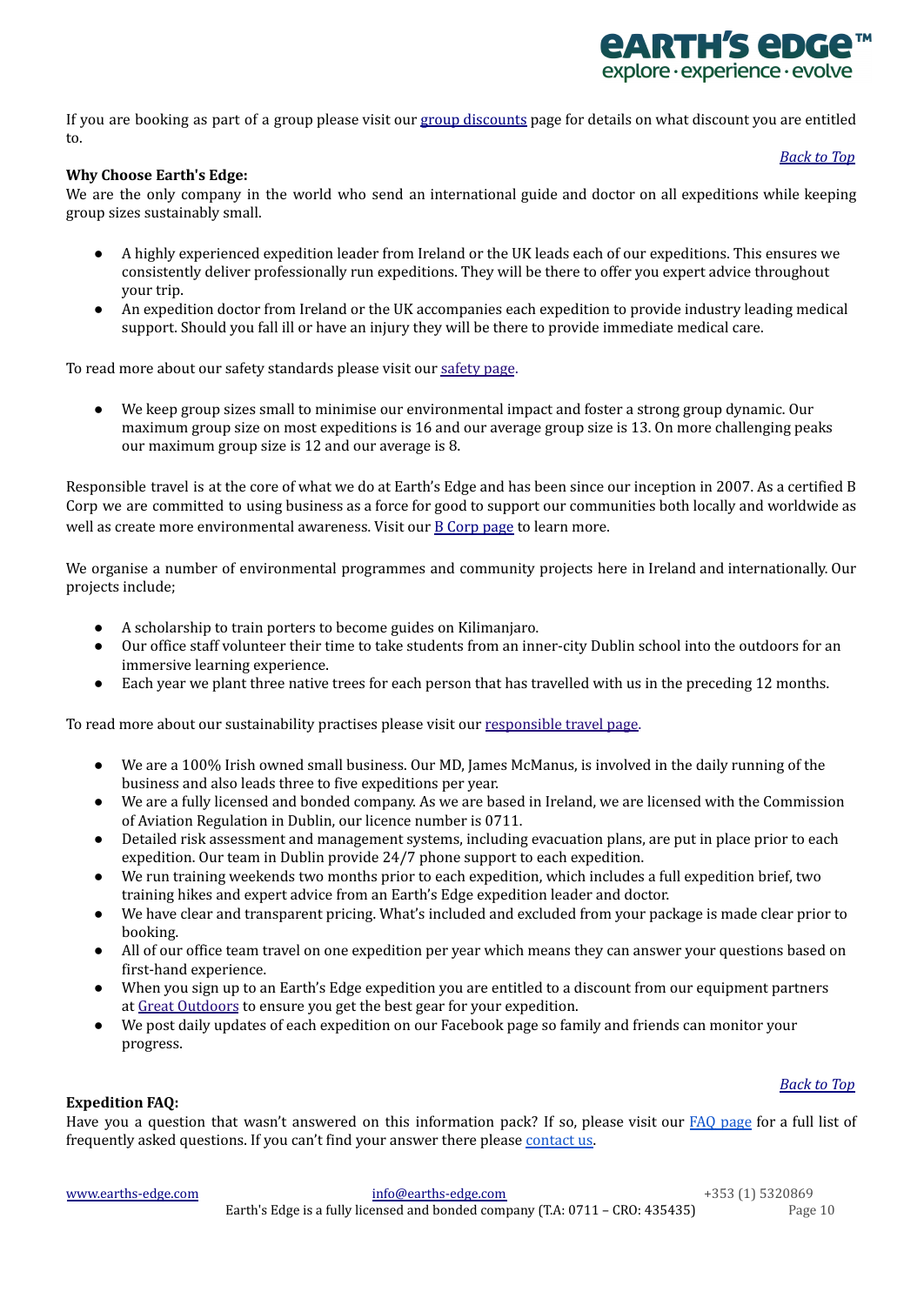

*[Back](#page-0-2) to Top*

If you are booking as part of a group please visit our group [discounts](https://www.earths-edge.com/group-discounts/) page for details on what discount you are entitled to.

# <span id="page-9-0"></span>**Why Choose Earth's Edge:**

We are the only company in the world who send an international guide and doctor on all expeditions while keeping group sizes sustainably small.

- A highly experienced expedition leader from Ireland or the UK leads each of our expeditions. This ensures we consistently deliver professionally run expeditions. They will be there to offer you expert advice throughout your trip.
- An expedition doctor from Ireland or the UK accompanies each expedition to provide industry leading medical support. Should you fall ill or have an injury they will be there to provide immediate medical care.

To read more about our safety standards please visit our [safety](https://www.earths-edge.com/safety/) page.

We keep group sizes small to minimise our environmental impact and foster a strong group dynamic. Our maximum group size on most expeditions is 16 and our average group size is 13. On more challenging peaks our maximum group size is 12 and our average is 8.

Responsible travel is at the core of what we do at Earth's Edge and has been since our inception in 2007. As a certified B Corp we are committed to using business as a force for good to support our communities both locally and worldwide as well as create more environmental awareness. Visit our B [Corp](https://earths-edge.com/b-corp/) page to learn more.

We organise a number of environmental programmes and community projects here in Ireland and internationally. Our projects include;

- A scholarship to train porters to become guides on Kilimanjaro.
- Our office staff volunteer their time to take students from an inner-city Dublin school into the outdoors for an immersive learning experience.
- Each year we plant three native trees for each person that has travelled with us in the preceding 12 months.

To read more about our sustainability practises please visit our [responsible](https://www.earths-edge.com/responsible-travel/) travel page.

- We are a 100% Irish owned small business. Our MD, James McManus, is involved in the daily running of the business and also leads three to five expeditions per year.
- We are a fully licensed and bonded company. As we are based in Ireland, we are licensed with the Commission of Aviation Regulation in Dublin, our licence number is 0711.
- Detailed risk assessment and management systems, including evacuation plans, are put in place prior to each expedition. Our team in Dublin provide 24/7 phone support to each expedition.
- We run training weekends two months prior to each expedition, which includes a full expedition brief, two training hikes and expert advice from an Earth's Edge expedition leader and doctor.
- We have clear and transparent pricing. What's included and excluded from your package is made clear prior to booking.
- All of our office team travel on one expedition per year which means they can answer your questions based on first-hand experience.
- When you sign up to an Earth's Edge expedition you are entitled to a discount from our equipment partners at Great [Outdoors](https://www.greatoutdoors.ie/) to ensure you get the best gear for your expedition.
- We post daily updates of each expedition on our Facebook page so family and friends can monitor your progress.

*[Back](#page-0-2) to Top*

# <span id="page-9-1"></span>**Expedition FAQ:**

Have you a question that wasn't answered on this information pack? If so, please visit our FAQ [page](http://www.earths-edge.com/faq/) for a full list of frequently asked questions. If you can't find your answer there please [contact](https://www.earths-edge.com/contact-us/) us.